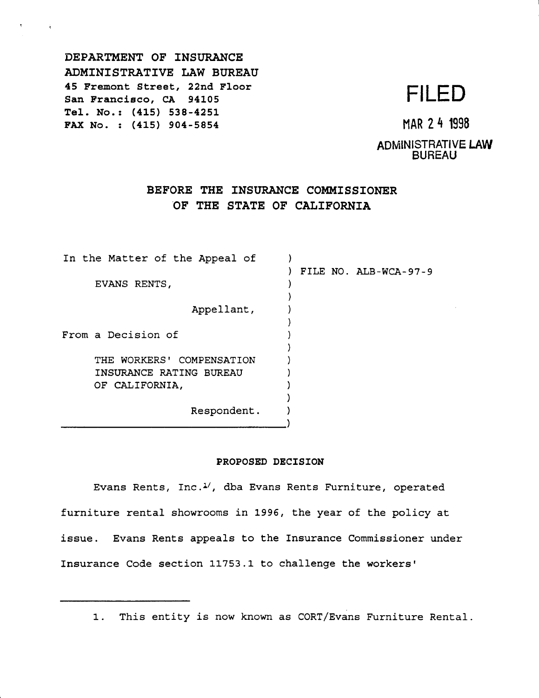DEPARTMENT OF INSURANCE ADMINISTRATIVE LAW BUREAU 45 Fremont Street, 22nd Floor 45 Fremont Street, 22nd Floor<br>San Francisco, CA 94105<br>**FILED** Tel. No.: (415) 538-4251 FAX No. : (415) 904-5854 MAR 2 4 1998

ADMINISTRATIVE **LAW**  BUREAU

# **BEFORE THE INSURANCE COMMISSIONER ·oF THE STATE OF CALIFORNIA**

In the Matter of the Appeal of ) ) FILE NO. ALB-WCA-97-9 EVANS RENTS, ) Appellant, ) ) From a Decision of ) ) THE WORKERS' COMPENSATION ) INSURANCE RATING BUREAU ) OF CALIFORNIA, ) Respondent. ) \_\_\_\_\_\_\_\_\_\_\_\_\_\_\_\_\_\_)

### **PROPOSED DECISION**

Evans Rents, Inc. $1/2$ , dba Evans Rents Furniture, operated furniture rental showrooms in 1996, the year of the policy at issue. Evans Rents appeals to the Insurance Commissioner under Insurance Code section 11753.1 to challenge the workers'

1. This entity is now known as CORT/Evans Furniture Rental.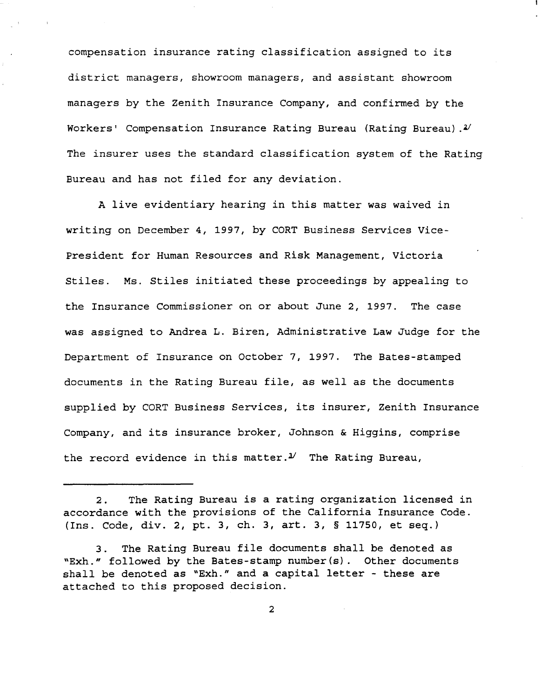compensation insurance rating classification assigned to its district managers, showroom managers, and assistant showroom managers by the Zenith Insurance Company, and confirmed by the Workers' Compensation Insurance Rating Bureau (Rating Bureau) *.v*  The insurer uses the standard classification system of the Rating Bureau and has not filed for any deviation.

A live evidentiary hearing in this matter was waived in writing on December 4, 1997, by CORT Business Services Vice-President for Human Resources and Risk Management, Victoria Stiles. Ms. Stiles initiated these proceedings by appealing to the Insurance Commissioner on or about June 2, 1997. The case was assigned to Andrea L. Biren, Administrative Law Judge for the Department of Insurance on October 7, 1997. The Bates-stamped documents in the Rating Bureau file, as well as the documents supplied by CORT Business Services, its insurer, Zenith Insurance Company, and its insurance broker, Johnson & Higgins, comprise the record evidence in this matter. $3'$  The Rating Bureau,

<sup>2.</sup> The Rating Bureau is a rating organization licensed in accordance with the provisions of the California Insurance Code. (Ins. Code, div. 2, pt. 3, ch. 3, art. 3, § 11750, et seq.)

<sup>3.</sup> The Rating Bureau file documents shall be denoted as "Exh." followed by the Bates-stamp number(s). Other documents shall be denoted as "Exh." and a capital letter - these are attached to this proposed decision.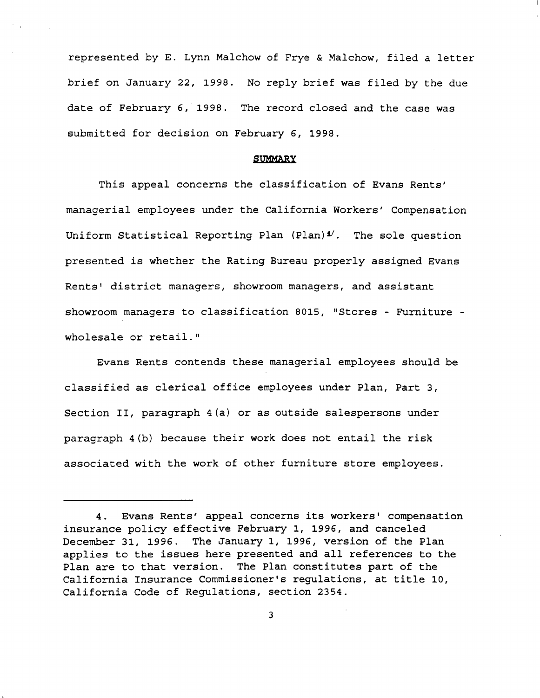represented by E. Lynn Malchow of Frye & Malchow, filed a letter brief on January 22, 1998. No reply brief was filed by the due date of February 6, 1998. The record closed and the case was submitted for decision on February 6, 1998.

#### **SUMMARY**

This appeal concerns the classification of Evans Rents' managerial employees under the California Workers' Compensation Uniform Statistical Reporting Plan (Plan)<sup>1</sup>. The sole question presented is whether the Rating Bureau properly assigned Evans Rents' district managers, showroom managers, and assistant showroom managers to classification 8015, "Stores - Furniture wholesale or retail."

Evans Rents contends these managerial employees should be classified as clerical office employees under Plan, Part 3, Section II, paragraph 4(a) or as outside salespersons under paragraph 4(b) because their work does not entail the risk associated with the work of other furniture store employees.

<sup>4.</sup> Evans Rents' appeal concerns its workers' compensation insurance policy effective February 1, 1996, and canceled December 31, 1996. The January 1, 1996, version of the Plan applies to the issues here presented and all references to the Plan are to that version. The Plan constitutes part of the California Insurance Commissioner's regulations, at title 10, California Code of Regulations, section 2354.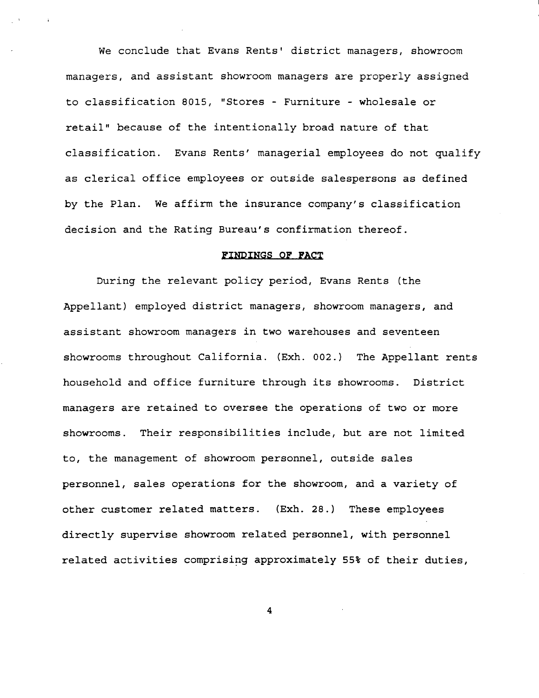We conclude that Evans Rents' district managers, showroom managers, and assistant showroom managers are properly assigned to classification 8015, "Stores - Furniture - wholesale or retail" because of the intentionally broad nature of that classification. Evans Rents' managerial employees do not qualify as clerical office employees or outside salespersons as defined by the Plan. We affirm the insurance company's classification decision and the Rating Bureau's confirmation thereof.

#### **FINDINGS OF FACT**

During the relevant policy period, Evans Rents (the Appellant) employed district managers, showroom managers, and assistant showroom managers in two warehouses and seventeen showrooms throughout California. (Exh. 002.) The Appellant rents household and office furniture through its showrooms. District managers are retained to oversee the operations of two or more showrooms. Their responsibilities include, but are not limited to, the management of showroom personnel, outside sales personnel, sales operations for the showroom, and a variety of other customer related matters. (Exh. 28.) These employees directly supervise showroom related personnel, with personnel related activities comprising approximately 55% of their duties,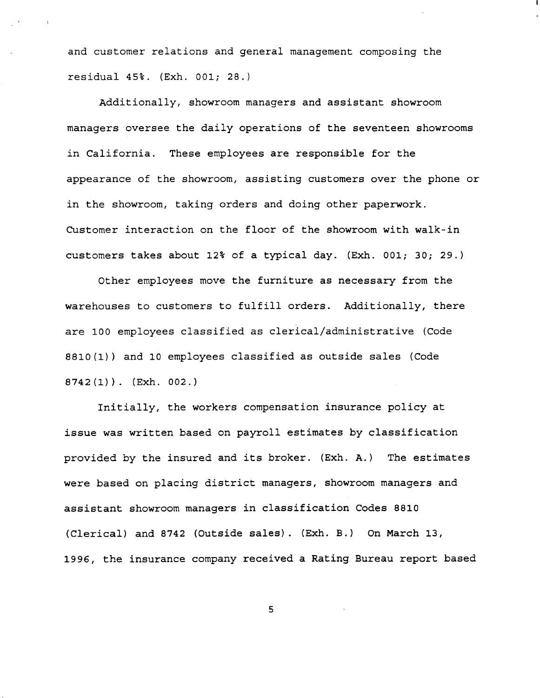and customer relations and general management composing the residual 45%. (Exh. 001; 28.)

Additionally, showroom managers and assistant showroom managers oversee the daily operations of the seventeen showrooms in California. These employees are responsible for the appearance of the showroom, assisting customers over the phone or in the showroom, taking orders and doing other paperwork. Customer interaction on the floor of the showroom with walk-in customers takes about 12% of a typical day. (Exh. 001; 30; 29.)

Other employees move the furniture as necessary from the warehouses to customers to fulfill orders. Additionally, there are 100 employees classified as clerical/administrative (Code 8810(1)) and 10 employees classified as outside sales (Code  $8742(1)$ . (Exh. 002.)

Initially, the workers compensation insurance policy at issue was written based on payroll estimates by classification provided by the insured and its broker. (Exh. A.) The estimates were based on placing district managers, showroom managers and assistant showroom managers in classification Codes 8810 (Clerical) and 8742 (Outside sales). (Exh. B.) On March 13, 1996, the insurance company received a Rating Bureau report based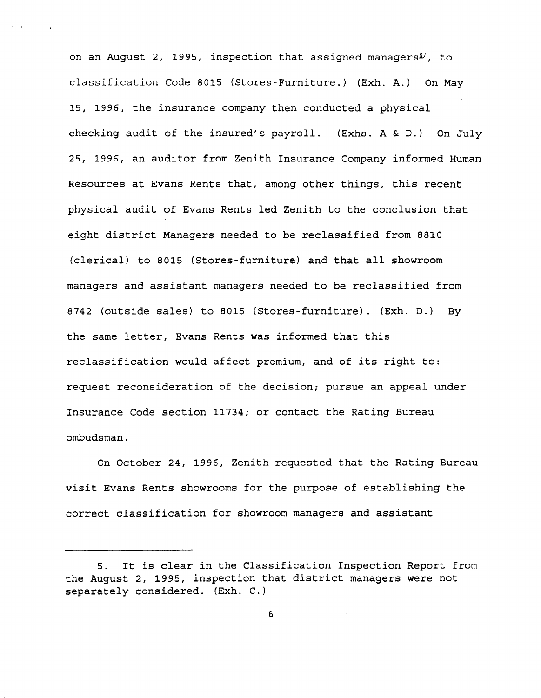on an August 2, 1995, inspection that assigned managers<sup> $/$ </sup>, to classification Code 8015 (Stores-Furniture.) (Exh. A.) On May 15, 1996, the insurance company then conducted a physical checking audit of the insured's payroll. (Exhs. A & D.) On July 25, 1996, an auditor from Zenith Insurance Company informed Human Resources at Evans Rents that, among other things, this recent physical audit of Evans Rents led Zenith to the conclusion that eight district Managers needed to be reclassified from 8810 (clerical) to 8015 (Stores-furniture) and that all showroom managers and assistant managers needed to be reclassified from 8742 (outside sales) to 8015 (Stores-furniture). (Exh. D.) By the same letter, Evans Rents was informed that this reclassification would affect premium, and of its right to: request reconsideration of the decision; pursue an appeal under Insurance Code section 11734; or contact the Rating Bureau ombudsman.

On October 24, 1996, Zenith requested that the Rating Bureau visit Evans Rents showrooms for the purpose of establishing the correct classification for showroom managers and assistant

<sup>5.</sup> It is clear in the Classification Inspection Report from the August 2, 1995, inspection that district managers were not separately considered. (Exh. C.)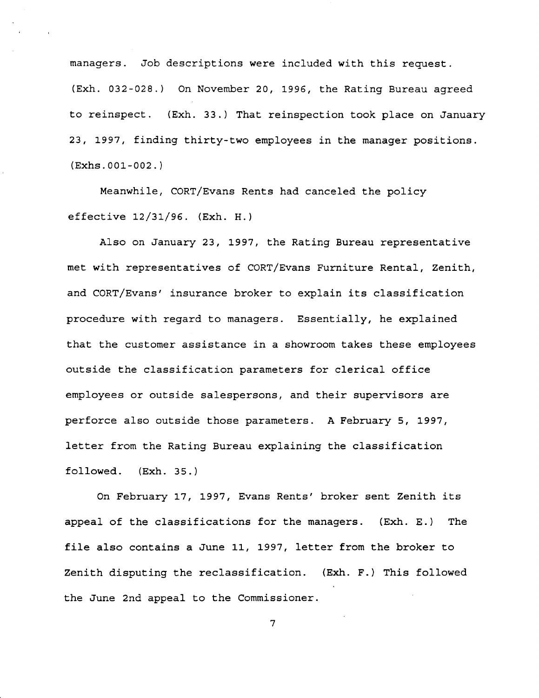managers. Job descriptions were included with this request. (Exh. 032-028.) On November 20, 1996, the Rating Bureau agreed to reinspect. (Exh. 33.) That reinspection took place on January 23, 1997, finding thirty-two employees in the manager positions.  $(Exhs.001-002.)$ 

Meanwhile, CORT/Evans Rents had canceled the policy effective 12/31/96. (Exh. H.)

Also on January 23, 1997, the Rating Bureau representative met with representatives of CORT/Evans Furniture Rental, Zenith, and CORT/Evans' insurance broker to explain its classification procedure with regard to managers. Essentially, he explained that the customer assistance in a showroom takes these employees outside the classification parameters for clerical office employees or outside salespersons, and their supervisors are perforce also outside those parameters. A February 5, 1997, letter from the Rating Bureau explaining the classification followed. (Exh. 35.)

On February 17, 1997, Evans Rents' broker sent Zenith its appeal of the classifications for the managers. (Exh. E.) The file also contains a June 11, 1997, letter from the broker to Zenith disputing the reclassification. (Exh. F.) This followed the June 2nd appeal to the Commissioner.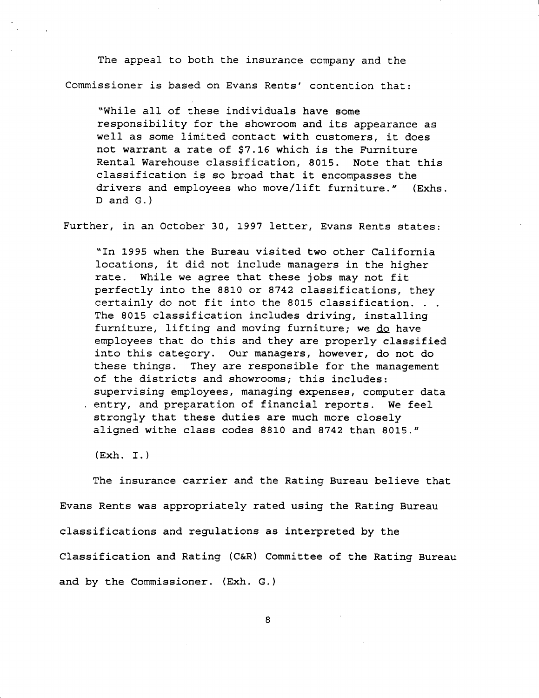The appeal to both the insurance company and the Commissioner is based on Evans Rents' contention that:

"While all of these individuals have some responsibility for the showroom and its appearance as well as some limited contact with customers, it does not warrant a rate of \$7.16 which is the Furniture Rental Warehouse classification, 8015. Note that this classification is so broad that it encompasses the drivers and employees who move/lift furniture." (Exhs. D and G.)

Further, in an October 30, 1997 letter, Evans Rents states:

"In 1995 when the Bureau visited two other California locations, it did not include managers in the higher rate. While we agree that these jobs may not fit perfectly into the 8810 or 8742 classifications, they certainly do not fit into the 8015 classification.. The 8015 classification includes driving, installing furniture, lifting and moving furniture; **we QQ** have employees that do this and they are properly classified into this category. Our managers, however, do not do these things. They are responsible for the management of the districts and showrooms; this includes: supervising employees, managing expenses, computer data entry, and preparation of financial reports. We feel strongly that these duties are much more closely aligned withe class codes 8810 and 8742 than 8015."

 $(Exh. I.)$ 

The insurance carrier and the Rating Bureau believe that Evans Rents was appropriately rated using the Rating Bureau classifications and regulations as interpreted by the Classification and Rating (C&R) Committee of the Rating Bureau and by the Commissioner. (Exh. G.)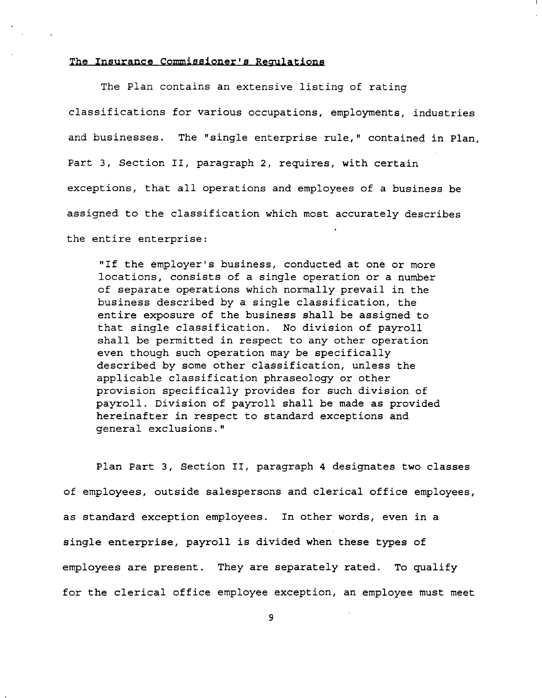## **The Insurance Commissioner's Regulations**

The Plan contains an extensive listing of rating classifications for various occupations, employments, industries and businesses. The "single enterprise rule," contained in Plan, Part 3, Section II, paragraph 2, requires, **with** certain exceptions, that all operations and employees of a business be assigned to the classification which most accurately describes the entire enterprise:

"If the employer's business, conducted at one or more locations, consists of a single operation or a number of separate operations which normally prevail in the business described by a single classification, the entire exposure of the business shall be assigned to that single classification. No division of payroll shall be permitted in respect to any other operation even though such operation may be specifically described by some other classification, unless the applicable classification phraseology or other provision specifically provides for such division of payroll. Division of payroll shall be made as provided hereinafter in respect to standard exceptions and general exclusions."

Plan Part 3, Section II, paragraph 4 designates two classes of employees, outside salespersons and clerical office employees, as standard exception employees. In other words, even in a single enterprise, payroll is divided when these types of employees are present. They are separately rated. To qualify for the clerical office employee exception, an employee must meet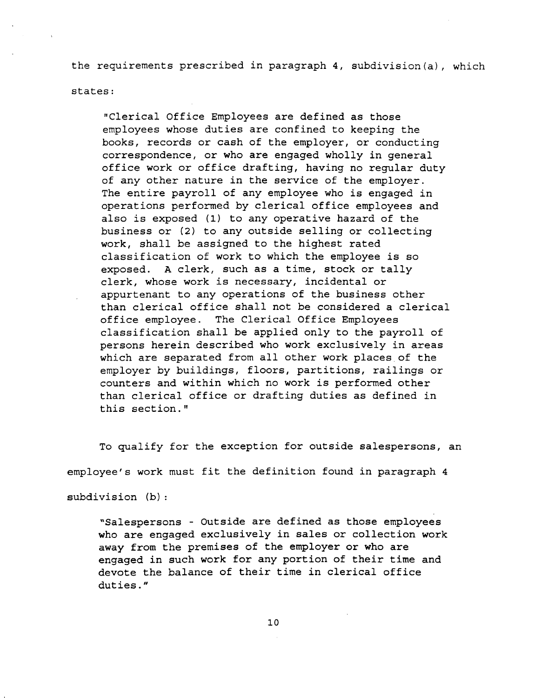the requirements prescribed in paragraph 4, subdivision(a), which

states:

"Clerical Office Employees are defined as those employees whose duties are confined to keeping the books, records or cash of the employer, or conducting correspondence, or who are engaged wholly in general office work or office drafting, having no regular duty of any other nature in the service of the employer. The entire payroll of any employee who is engaged in operations performed by clerical office employees and also is exposed (1) to any operative hazard of the business or (2) to any outside selling or collecting work, shall be assigned to the highest rated classification of work to which the employee is so exposed. A clerk, such as a time, stock or tally clerk, whose work is necessary, incidental or appurtenant to any operations of the business other than clerical office shall not be considered a clerical office employee. The Clerical Office Employees classification shall be applied only to the payroll of persons herein described who work exclusively in areas which are separated from all other work places of the employer by buildings, floors, partitions, railings or counters and within which no work is performed other than clerical office or drafting duties as defined in this section."

To qualify for the exception for outside salespersons, an employee's work must fit the definition found in paragraph 4

subdivision (b):

"Salespersons - Outside are defined as those employees who are engaged exclusively in sales or collection work away from the premises of the employer or who are engaged in such work for any portion of their time and devote the balance of their time in clerical office duties."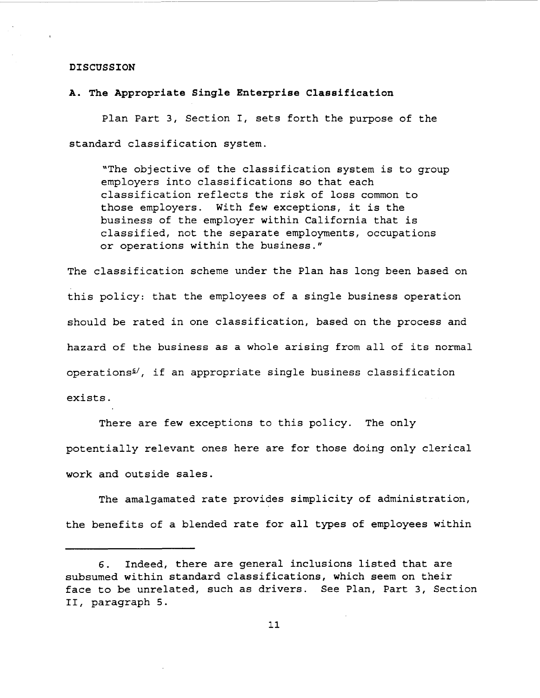#### **DISCUSSION**

### **A. The Appropriate Single Enterprise Classification**

Plan Part 3, Section I, sets forth the purpose of the standard classification system.

"The objective of the classification system is to group employers into classifications so that each classification reflects the risk of loss common to those employers. With few exceptions, it is the business of the employer within California that is classified, not the separate employments, occupations or operations within the business."

The classification scheme under the Plan has long been based on this policy: that the employees of a single business operation should be rated in one classification, based on the process and hazard of the business as a whole arising from all of its normal  $operations<sup>6</sup>,$  if an appropriate single business classification exists.

There are few exceptions to this policy. The only potentially relevant ones here are for those doing only clerical work and outside sales.

The amalgamated rate provides simplicity of administration, the benefits of a blended rate for all types of employees within

<sup>6.</sup> Indeed, there are general inclusions listed that are subsumed within standard classifications, which seem on their face to be unrelated, such as drivers. See Plan, Part 3, Section II, paragraph 5.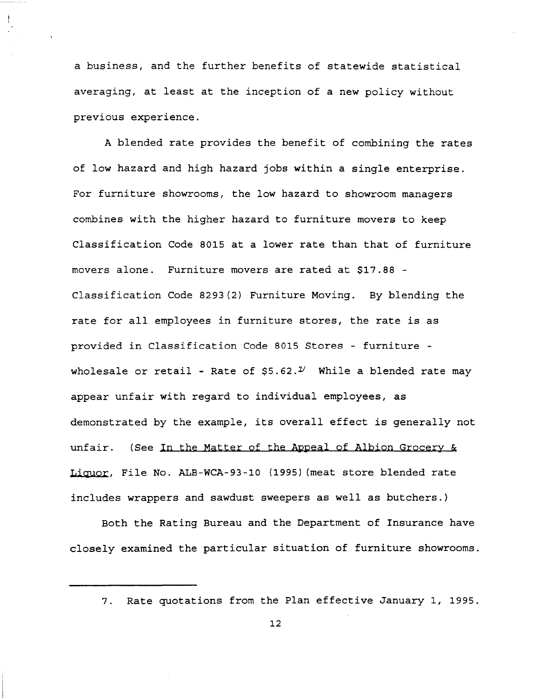a business, and the further benefits of statewide statistical averaging, at least at the inception of a new policy without previous experience.

A blended rate provides the benefit of combining the rates of low hazard and high hazard jobs within a single enterprise. For furniture showrooms, the low hazard to showroom managers combines with the higher hazard to furniture movers to keep Classification Code 8015 at a lower rate than that of furniture movers alone. Furniture movers are rated at \$17.88 - Classification Code 8293(2) Furniture Moving. By blending the rate for all employees in furniture stores, the rate is as provided in Classification Code 8015 Stores - furniture wholesale or retail - Rate of  $$5.62$ . $\nu$  While a blended rate may appear unfair with regard to individual employees, as demonstrated by the example, its overall effect is generally not unfair. (See In the Matter of the Appeal of Albion Grocery & **Liquor,** File No. ALB-WCA-93-10 (1995) (meat store blended rate includes wrappers and sawdust sweepers as well as butchers.)

Both the Rating Bureau and the Department of Insurance have closely examined the particular situation of furniture showrooms.

<sup>7.</sup> Rate quotations from the Plan effective January 1, 1995.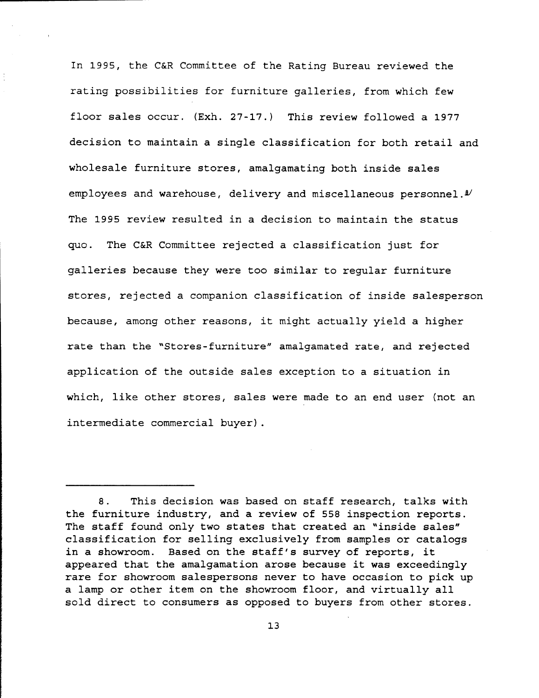In 1995, the C&R Committee of the Rating Bureau reviewed the rating possibilities for furniture galleries, from which few floor sales occur. (Exh. 27-17.) This review followed a 1977 decision to maintain a single classification for both retail and wholesale furniture stores, amalgamating both inside sales employees and warehouse, delivery and miscellaneous personnel.<sup>1</sup> The 1995 review resulted in a decision to maintain the status quo. The C&R Committee rejected a classification just for galleries because they were too similar to regular furniture stores, rejected a companion classification of inside salesperson because, among other reasons, it might actually yield a higher rate than the "Stores-furniture" amalgamated rate, and rejected application of the outside sales exception to a situation in which, like other stores, sales were made to an end user (not an intermediate commercial buyer).

<sup>8.</sup> This decision was based on staff research, talks with the furniture industry, and a review of 558 inspection reports. The staff found only two states that created an "inside sales" classification for selling exclusively from samples or catalogs in a showroom. Based on the staff's survey of reports, it appeared that the amalgamation arose because it was exceedingly rare for showroom salespersons never to have occasion to pick up a lamp or other item on the showroom floor, and virtually all sold direct to consumers as opposed to buyers from other stores.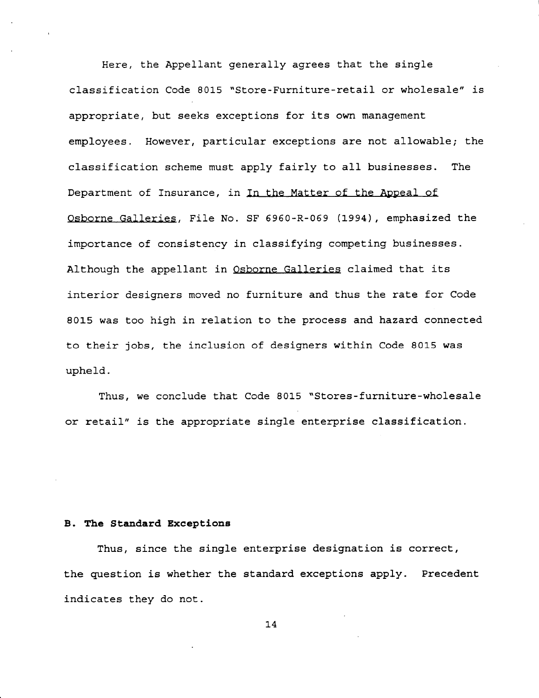Here, the Appellant generally agrees that the single classification Code 8015 "Store-Furniture-retail or wholesale" is appropriate, but seeks exceptions for its own management employees. However, particular exceptions are not allowable; the classification scheme must apply fairly to all businesses. The Department of Insurance, in In the Matter of the Appeal of Osborne Galleries, File No. SF 6960-R-069 (1994), emphasized the importance of consistency in classifying competing businesses. Although the appellant in Osborne Galleries claimed that its interior designers moved no furniture and thus the rate for Code 8015 was too high in relation to the process and hazard connected to their jobs, the inclusion of designers within Code 8015 was upheld.

Thus, we conclude that Code 8015 "Stores-furniture-wholesale or retail" is the appropriate single enterprise classification.

## **B. The Standard Exceptions**

Thus, since the single enterprise designation is correct, the question is whether the standard exceptions apply. Precedent indicates they do not.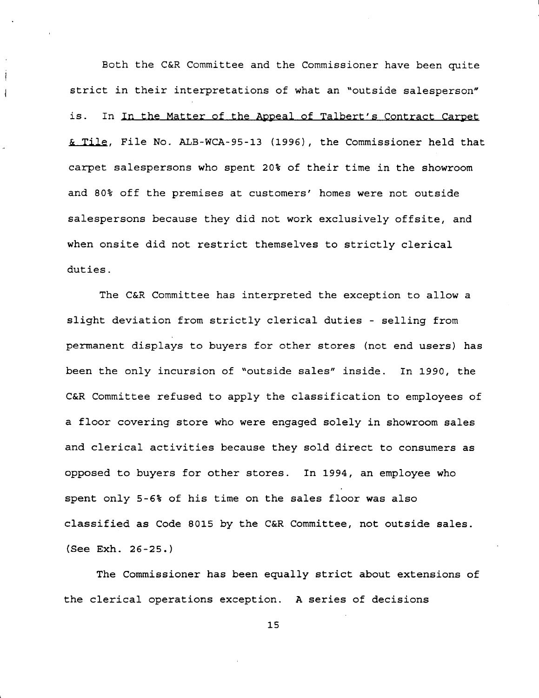Both the C&R Committee and the Commissioner have been quite strict in their interpretations of what an "outside salesperson" is. In In the Matter of the Appeal of Talbert's contract Carpet & **Tile,** File No. ALB-WCA-95-13 (1996), the Commissioner held that carpet salespersons who spent 20% of their time in the showroom and 80% off the premises at customers' homes were not outside salespersons because they did not work exclusively offsite, and when onsite did not restrict themselves to strictly clerical duties.

 $\frac{1}{2}$ 

The C&R Committee has interpreted the exception to allow a slight deviation from strictly clerical duties - selling from permanent displays to buyers for other stores (not end users) has been the only incursion of "outside sales" inside. In 1990, the C&R Committee refused to apply the classification to employees of a floor covering store who were engaged solely in showroom sales and clerical activities because they sold direct to consumers as opposed to buyers for other stores. In 1994, an employee who spent only 5-6% of his time on the sales floor was also classified as Code 8015 by the C&R Committee, not outside sales. (See Exh. 26-25.)

The Commissioner has been equally strict about extensions of the clerical operations exception. A series of decisions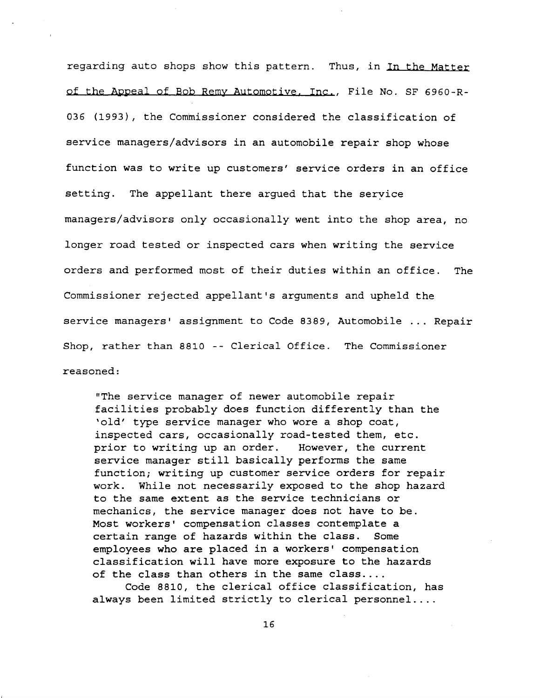regarding auto shops show this pattern. Thus, in In the Matter of the Appeal of Bob Remy Automotive, Inc., File No. SF 6960-R-036 (1993), the Commissioner considered the classification of service managers/advisors in an automobile repair shop whose function was to write up customers' service orders in an office setting. The appellant there argued that the service managers/advisors only occasionally went into the shop area, no longer road tested or inspected cars when writing the service orders and performed most of their duties within an office. The Commissioner rejected appellant's arguments and upheld the service managers' assignment to Code 8389, Automobile ... Repair Shop, rather than 8810 -- Clerical Office. The Commissioner reasoned:

"The service manager of newer automobile repair facilities probably does function differently than the 'old' type service manager who wore a shop coat, inspected cars, occasionally road-tested them, etc. prior to writing up an order. However, the current service manager still basically performs the same function; writing up customer service orders for repair work. While not necessarily exposed to the shop hazard to the same extent as the service technicians or mechanics, the service manager does not have to be. Most workers' compensation classes contemplate a certain range of hazards within the class. Some employees who are placed in a workers' compensation classification will have more exposure to the hazards of the class than others in the same class....

Code 8810, the clerical office classification, has always been limited strictly to clerical personnel ....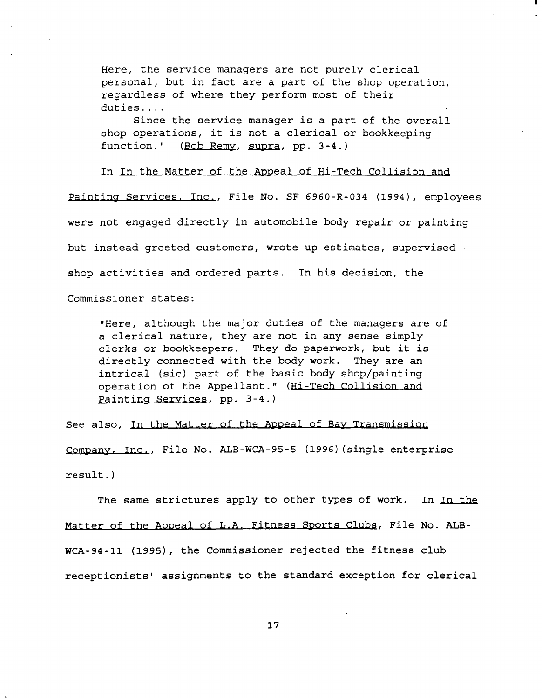Here, the service managers are not purely clerical personal, but in fact are a part of the shop operation, regardless of where they perform most of their duties....

Since the service manager is a part of the overall shop operations, it is not a clerical or bookkeeping<br>function." (Bob Remy, supra, pp. 3-4.) (Bob Remy, supra, pp. 3-4.)

In In the Matter of the Appeal of Hi-Tech Collision and Painting Services, Inc., File No. SF 6960-R-034 (1994), employees were not engaged directly in automobile body repair or painting but instead greeted customers, wrote up estimates, supervised shop activities and ordered parts. In his decision, the Commissioner states:

"Here, although the major duties of the managers are of a clerical nature, they are not in any sense simply clerks or bookkeepers. They do paperwork, but it is directly connected with the body work. They are an intrical {sic) part of the basic body shop/painting operation of the Appellant." {Hi-Tech Collision and Painting services, pp. 3-4.)

see also, In the Matter of the Appeal of Bay Transmission Company, Inc., File No. ALB-WCA-95-5 (1996) {single enterprise result.)

The same strictures apply to other types of work. In In the Matter of the Appeal of L.A. Fitness sports Clubs, File No. ALBwcA-94-11 (1995), the Commissioner rejected the fitness club receptionists' assignments to the standard exception for clerical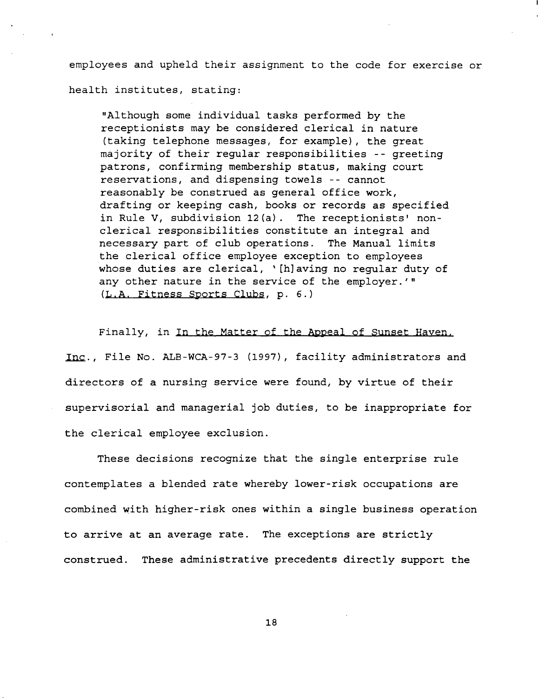employees and upheld their assignment to the code for exercise or health institutes, stating:

"Although some individual tasks performed by the receptionists may be considered clerical in nature (taking telephone messages, for example), the great majority of their regular responsibilities -- greeting patrons, confirming membership status, making court reservations, and dispensing towels -- cannot reasonably be construed as general office work, drafting or keeping cash, books or records as specified in Rule V, subdivision 12(a). The receptionists' nonclerical responsibilities constitute an integral and necessary part of club operations. The Manual limits the clerical office employee exception to employees whose duties are clerical, '[h]aving no regular duty of any other nature in the service of the employer.'" (L.A. Fitness sports Clubs, p. 6.)

Finally, in In the Matter of the Appeal of sunset Haven, Inc., File No. ALB-WCA-97-3 (1997), facility administrators and directors of a nursing service were found, by virtue of their supervisorial and managerial job duties, to be inappropriate for the clerical employee exclusion.

These decisions recognize that the single enterprise rule contemplates a blended rate whereby lower-risk occupations are combined with higher-risk ones within a single business operation to arrive at an average rate. The exceptions are strictly construed. These administrative precedents directly support the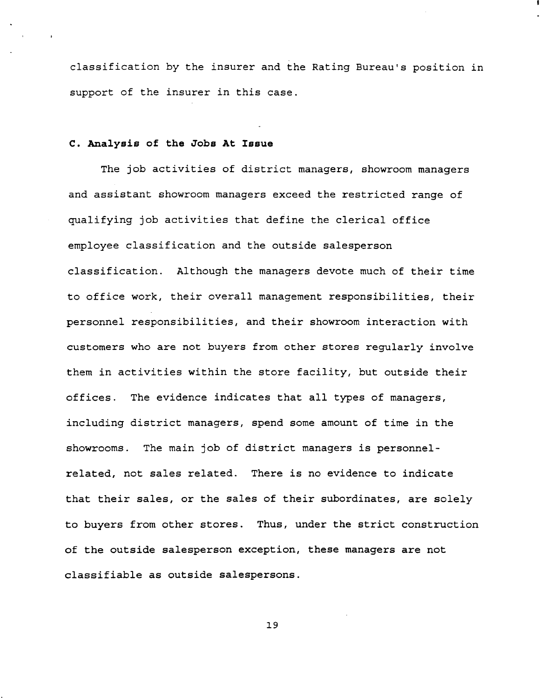classification by the insurer and the Rating Bureau's position in support of the insurer in this case.

## **c. Analysis of the Jobs At Issue**

The job activities of district managers, showroom managers and assistant showroom managers exceed the restricted range of qualifying job activities that define the clerical office employee classification and the outside salesperson classification. Although the managers devote much of their time to office work, their overall management responsibilities, their personnel responsibilities, and their showroom interaction with customers who are not buyers from other stores regularly involve them in activities within the store facility, but outside their offices. The evidence indicates that all types of managers, including district managers, spend some amount of time in the showrooms. The main job of district managers is personnelrelated, not sales related. There is no evidence to indicate that their sales, or the sales of their subordinates, are solely to buyers from other stores. Thus, under the strict construction of the outside salesperson exception, these managers are not classifiable as outside salespersons.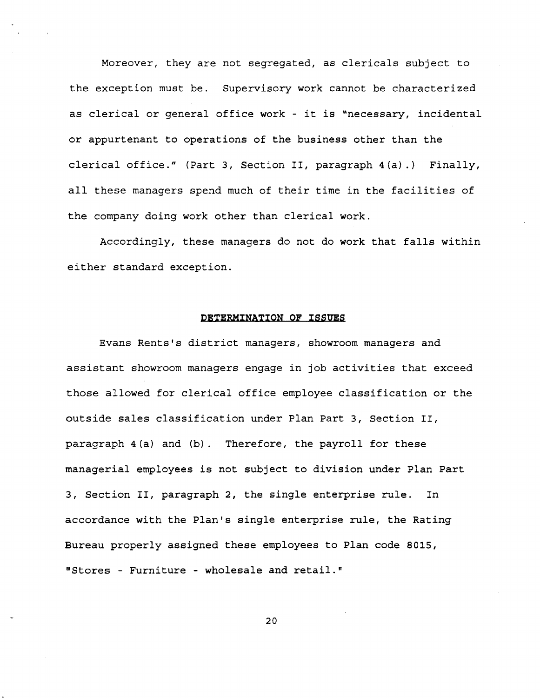Moreover, they are not segregated, as clericals subject to the exception must be. Supervisory work cannot be characterized as clerical or general office work - it is "necessary, incidental or appurtenant to operations of the business other than the clerical office." (Part 3, Section II, paragraph 4(a) .) Finally, all these managers spend much of their time in the facilities of the company doing work other than clerical work.

Accordingly, these managers do not do work that falls within either standard exception.

### **DETERMINATION OF ISSUES**

Evans Rents's district managers, showroom managers and assistant showroom managers engage in job activities that exceed those allowed for clerical office employee classification or the outside sales classification under Plan Part 3, Section II, paragraph 4(a) and (b). Therefore, the payroll for these managerial employees is not subject to division under Plan Part 3, Section II, paragraph 2, the single enterprise rule. In accordance with the Plan's single enterprise rule, the Rating Bureau properly assigned these employees to Plan code 8015, "Stores - Furniture - wholesale and retail."